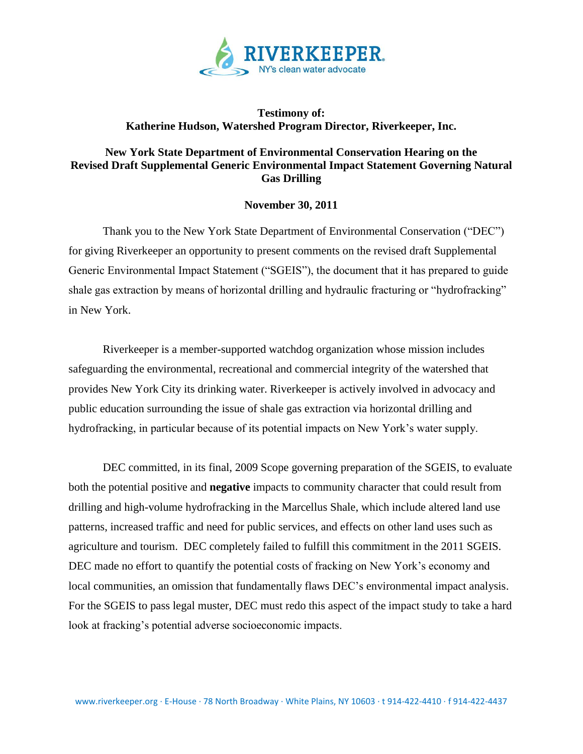

## **Testimony of: Katherine Hudson, Watershed Program Director, Riverkeeper, Inc.**

## **New York State Department of Environmental Conservation Hearing on the Revised Draft Supplemental Generic Environmental Impact Statement Governing Natural Gas Drilling**

## **November 30, 2011**

Thank you to the New York State Department of Environmental Conservation ("DEC") for giving Riverkeeper an opportunity to present comments on the revised draft Supplemental Generic Environmental Impact Statement ("SGEIS"), the document that it has prepared to guide shale gas extraction by means of horizontal drilling and hydraulic fracturing or "hydrofracking" in New York.

Riverkeeper is a member-supported watchdog organization whose mission includes safeguarding the environmental, recreational and commercial integrity of the watershed that provides New York City its drinking water. Riverkeeper is actively involved in advocacy and public education surrounding the issue of shale gas extraction via horizontal drilling and hydrofracking, in particular because of its potential impacts on New York's water supply.

DEC committed, in its final, 2009 Scope governing preparation of the SGEIS, to evaluate both the potential positive and **negative** impacts to community character that could result from drilling and high-volume hydrofracking in the Marcellus Shale, which include altered land use patterns, increased traffic and need for public services, and effects on other land uses such as agriculture and tourism. DEC completely failed to fulfill this commitment in the 2011 SGEIS. DEC made no effort to quantify the potential costs of fracking on New York's economy and local communities, an omission that fundamentally flaws DEC's environmental impact analysis. For the SGEIS to pass legal muster, DEC must redo this aspect of the impact study to take a hard look at fracking's potential adverse socioeconomic impacts.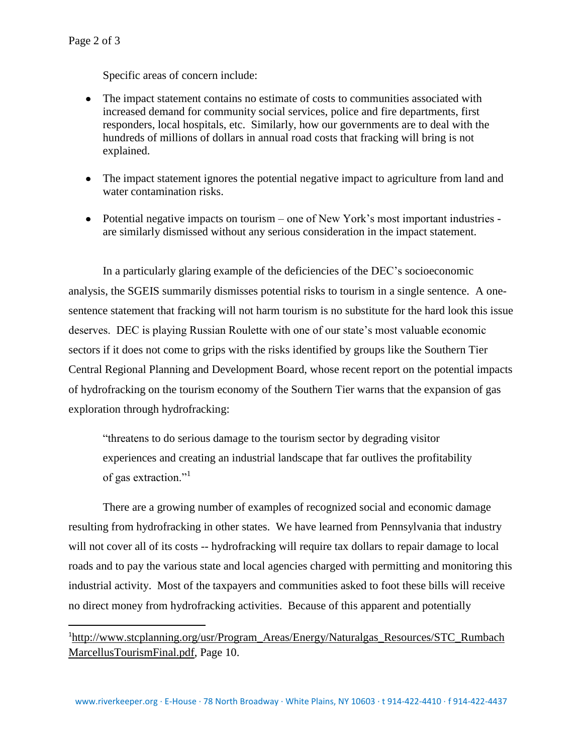l

Specific areas of concern include:

- The impact statement contains no estimate of costs to communities associated with increased demand for community social services, police and fire departments, first responders, local hospitals, etc. Similarly, how our governments are to deal with the hundreds of millions of dollars in annual road costs that fracking will bring is not explained.
- The impact statement ignores the potential negative impact to agriculture from land and water contamination risks.
- Potential negative impacts on tourism one of New York's most important industries are similarly dismissed without any serious consideration in the impact statement.

In a particularly glaring example of the deficiencies of the DEC's socioeconomic analysis, the SGEIS summarily dismisses potential risks to tourism in a single sentence. A onesentence statement that fracking will not harm tourism is no substitute for the hard look this issue deserves. DEC is playing Russian Roulette with one of our state's most valuable economic sectors if it does not come to grips with the risks identified by groups like the Southern Tier Central Regional Planning and Development Board, whose recent report on the potential impacts of hydrofracking on the tourism economy of the Southern Tier warns that the expansion of gas exploration through hydrofracking:

"threatens to do serious damage to the tourism sector by degrading visitor experiences and creating an industrial landscape that far outlives the profitability of gas extraction."<sup>1</sup>

There are a growing number of examples of recognized social and economic damage resulting from hydrofracking in other states. We have learned from Pennsylvania that industry will not cover all of its costs -- hydrofracking will require tax dollars to repair damage to local roads and to pay the various state and local agencies charged with permitting and monitoring this industrial activity. Most of the taxpayers and communities asked to foot these bills will receive no direct money from hydrofracking activities. Because of this apparent and potentially

<sup>1</sup>[http://www.stcplanning.org/usr/Program\\_Areas/Energy/Naturalgas\\_Resources/STC\\_Rumbach](http://www.stcplanning.org/usr/Program_Areas/Energy/Naturalgas_Resources/STC_RumbachMarcellusTourismFinal.pdf) [MarcellusTourismFinal.pdf,](http://www.stcplanning.org/usr/Program_Areas/Energy/Naturalgas_Resources/STC_RumbachMarcellusTourismFinal.pdf) Page 10.